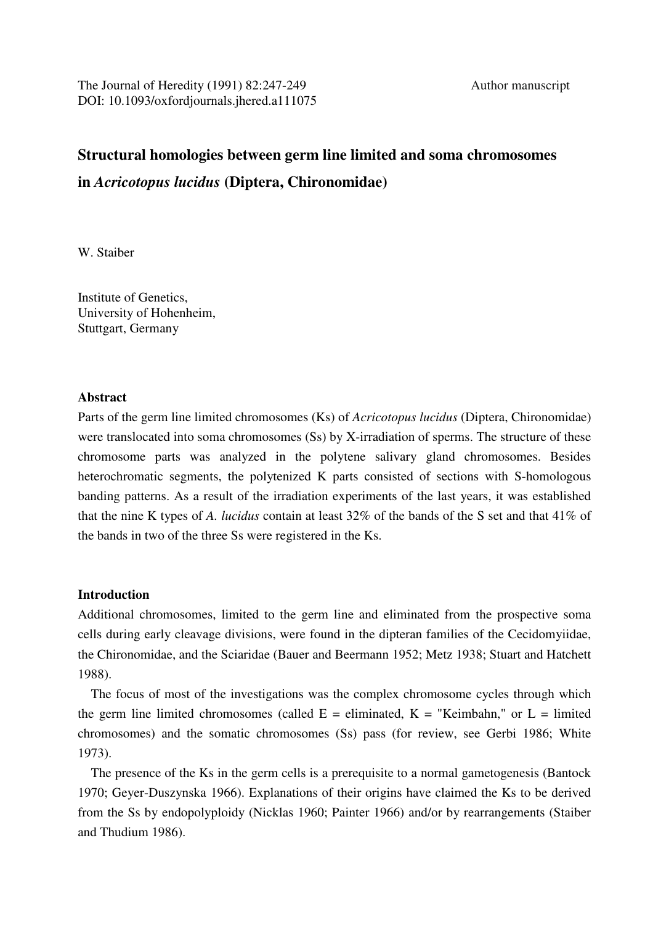# **Structural homologies between germ line limited and soma chromosomes in** *Acricotopus lucidus* **(Diptera, Chironomidae)**

W. Staiber

Institute of Genetics, University of Hohenheim, Stuttgart, Germany

## **Abstract**

Parts of the germ line limited chromosomes (Ks) of *Acricotopus lucidus* (Diptera, Chironomidae) were translocated into soma chromosomes (Ss) by X-irradiation of sperms. The structure of these chromosome parts was analyzed in the polytene salivary gland chromosomes. Besides heterochromatic segments, the polytenized K parts consisted of sections with S-homologous banding patterns. As a result of the irradiation experiments of the last years, it was established that the nine K types of *A. lucidus* contain at least 32% of the bands of the S set and that 41% of the bands in two of the three Ss were registered in the Ks.

## **Introduction**

Additional chromosomes, limited to the germ line and eliminated from the prospective soma cells during early cleavage divisions, were found in the dipteran families of the Cecidomyiidae, the Chironomidae, and the Sciaridae (Bauer and Beermann 1952; Metz 1938; Stuart and Hatchett 1988).

 The focus of most of the investigations was the complex chromosome cycles through which the germ line limited chromosomes (called  $E =$  eliminated,  $K =$  "Keimbahn," or  $L =$  limited chromosomes) and the somatic chromosomes (Ss) pass (for review, see Gerbi 1986; White 1973).

 The presence of the Ks in the germ cells is a prerequisite to a normal gametogenesis (Bantock 1970; Geyer-Duszynska 1966). Explanations of their origins have claimed the Ks to be derived from the Ss by endopolyploidy (Nicklas 1960; Painter 1966) and/or by rearrangements (Staiber and Thudium 1986).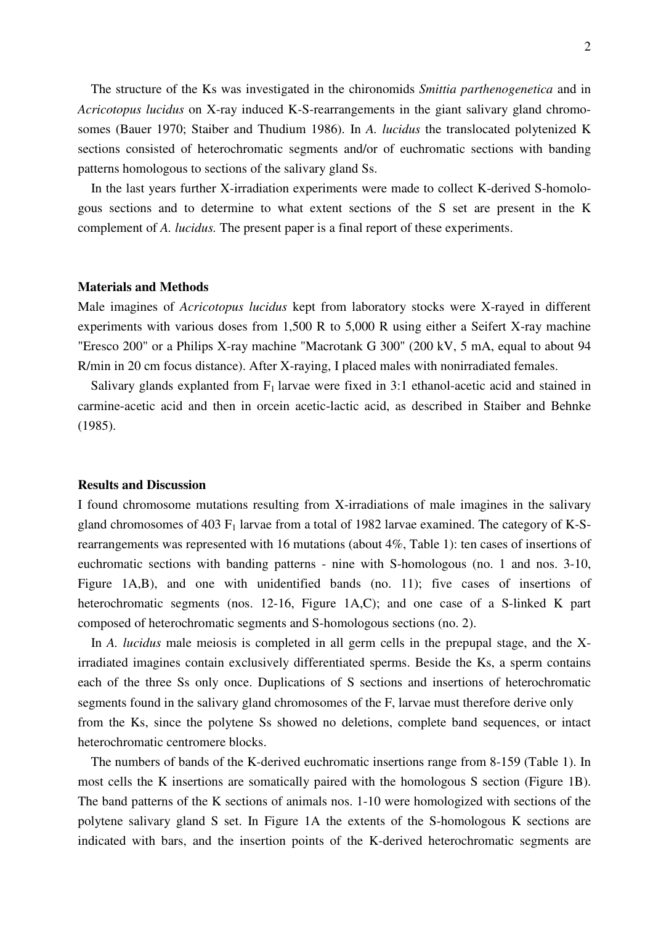The structure of the Ks was investigated in the chironomids *Smittia parthenogenetica* and in *Acricotopus lucidus* on X-ray induced K-S-rearrangements in the giant salivary gland chromosomes (Bauer 1970; Staiber and Thudium 1986). In *A. lucidus* the translocated polytenized K sections consisted of heterochromatic segments and/or of euchromatic sections with banding patterns homologous to sections of the salivary gland Ss.

 In the last years further X-irradiation experiments were made to collect K-derived S-homologous sections and to determine to what extent sections of the S set are present in the K complement of *A. lucidus.* The present paper is a final report of these experiments.

#### **Materials and Methods**

Male imagines of *Acricotopus lucidus* kept from laboratory stocks were X-rayed in different experiments with various doses from 1,500 R to 5,000 R using either a Seifert X-ray machine "Eresco 200" or a Philips X-ray machine "Macrotank G 300" (200 kV, 5 mA, equal to about 94 R/min in 20 cm focus distance). After X-raying, I placed males with nonirradiated females.

Salivary glands explanted from  $F_1$  larvae were fixed in 3:1 ethanol-acetic acid and stained in carmine-acetic acid and then in orcein acetic-lactic acid, as described in Staiber and Behnke (1985).

#### **Results and Discussion**

I found chromosome mutations resulting from X-irradiations of male imagines in the salivary gland chromosomes of 403  $F_1$  larvae from a total of 1982 larvae examined. The category of K-Srearrangements was represented with 16 mutations (about 4%, Table 1): ten cases of insertions of euchromatic sections with banding patterns - nine with S-homologous (no. 1 and nos. 3-10, Figure 1A,B), and one with unidentified bands (no. 11); five cases of insertions of heterochromatic segments (nos. 12-16, Figure 1A,C); and one case of a S-linked K part composed of heterochromatic segments and S-homologous sections (no. 2).

 In *A. lucidus* male meiosis is completed in all germ cells in the prepupal stage, and the Xirradiated imagines contain exclusively differentiated sperms. Beside the Ks, a sperm contains each of the three Ss only once. Duplications of S sections and insertions of heterochromatic segments found in the salivary gland chromosomes of the F, larvae must therefore derive only from the Ks, since the polytene Ss showed no deletions, complete band sequences, or intact heterochromatic centromere blocks.

 The numbers of bands of the K-derived euchromatic insertions range from 8-159 (Table 1). In most cells the K insertions are somatically paired with the homologous S section (Figure 1B). The band patterns of the K sections of animals nos. 1-10 were homologized with sections of the polytene salivary gland S set. In Figure 1A the extents of the S-homologous K sections are indicated with bars, and the insertion points of the K-derived heterochromatic segments are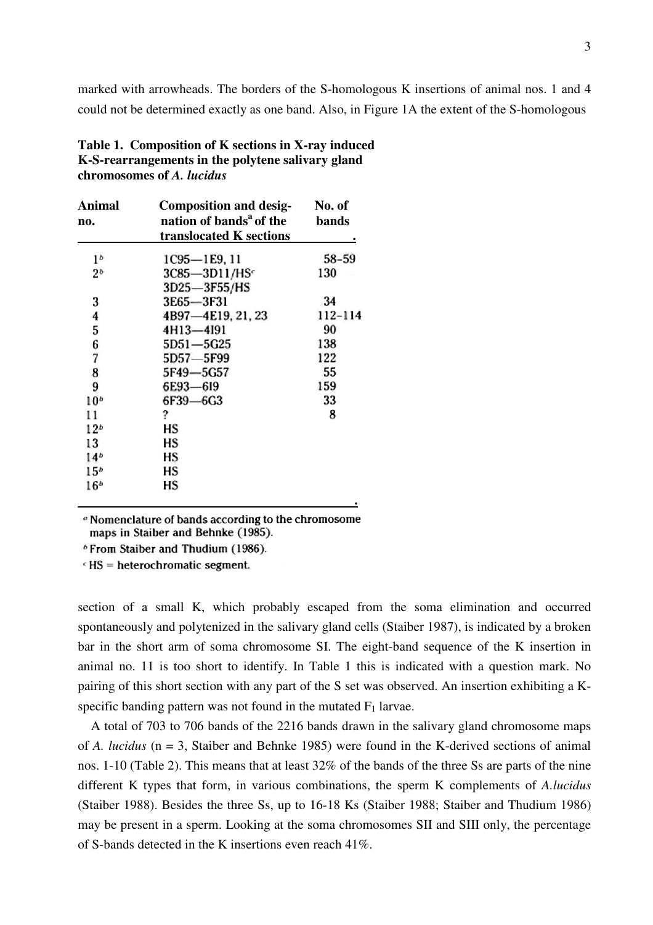marked with arrowheads. The borders of the S-homologous K insertions of animal nos. 1 and 4 could not be determined exactly as one band. Also, in Figure 1A the extent of the S-homologous

| Table 1. Composition of K sections in X-ray induced |
|-----------------------------------------------------|
| K-S-rearrangements in the polytene salivary gland   |
| chromosomes of A. lucidus                           |

| Animal<br>no.   | <b>Composition and desig-</b><br>nation of bands <sup>a</sup> of the<br>translocated K sections | No. of<br><b>bands</b> |
|-----------------|-------------------------------------------------------------------------------------------------|------------------------|
| 1 <sup>b</sup>  | 1C95-1E9, 11                                                                                    | $58 - 59$              |
| 2 <sub>b</sub>  | 3C85-3D11/HSc                                                                                   | 130                    |
|                 | 3D25-3F55/HS                                                                                    |                        |
| 3               | 3E65-3F31                                                                                       | 34                     |
| 4               | 4B97-4E19, 21, 23                                                                               | 112-114                |
| 5               | 4H13-4I91                                                                                       | 90                     |
| 6               | 5D51-5G25                                                                                       | 138                    |
| 7               | 5D57-5F99                                                                                       | 122                    |
| 8               | 5F49-5G57                                                                                       | 55                     |
| 9               | 6E93-6I9                                                                                        | 159                    |
| 10 <sup>b</sup> | 6F39-6G3                                                                                        | 33                     |
| 11              | ?                                                                                               | 8                      |
| 12 <sup>b</sup> | НS                                                                                              |                        |
| 13              | НS                                                                                              |                        |
| 14 <sup>b</sup> | НS                                                                                              |                        |
| 15 <sup>b</sup> | НS                                                                                              |                        |
| 16 <sup>b</sup> | НS                                                                                              |                        |
|                 |                                                                                                 |                        |

<sup>a</sup> Nomenclature of bands according to the chromosome maps in Staiber and Behnke (1985).

<sup>b</sup> From Staiber and Thudium (1986).

 $\epsilon$  HS = heterochromatic segment.

section of a small K, which probably escaped from the soma elimination and occurred spontaneously and polytenized in the salivary gland cells (Staiber 1987), is indicated by a broken bar in the short arm of soma chromosome SI. The eight-band sequence of the K insertion in animal no. 11 is too short to identify. In Table 1 this is indicated with a question mark. No pairing of this short section with any part of the S set was observed. An insertion exhibiting a Kspecific banding pattern was not found in the mutated  $F_1$  larvae.

 A total of 703 to 706 bands of the 2216 bands drawn in the salivary gland chromosome maps of *A. lucidus* (n = 3, Staiber and Behnke 1985) were found in the K-derived sections of animal nos. 1-10 (Table 2). This means that at least 32% of the bands of the three Ss are parts of the nine different K types that form, in various combinations, the sperm K complements of *A.lucidus*  (Staiber 1988). Besides the three Ss, up to 16-18 Ks (Staiber 1988; Staiber and Thudium 1986) may be present in a sperm. Looking at the soma chromosomes SII and SIII only, the percentage of S-bands detected in the K insertions even reach 41%.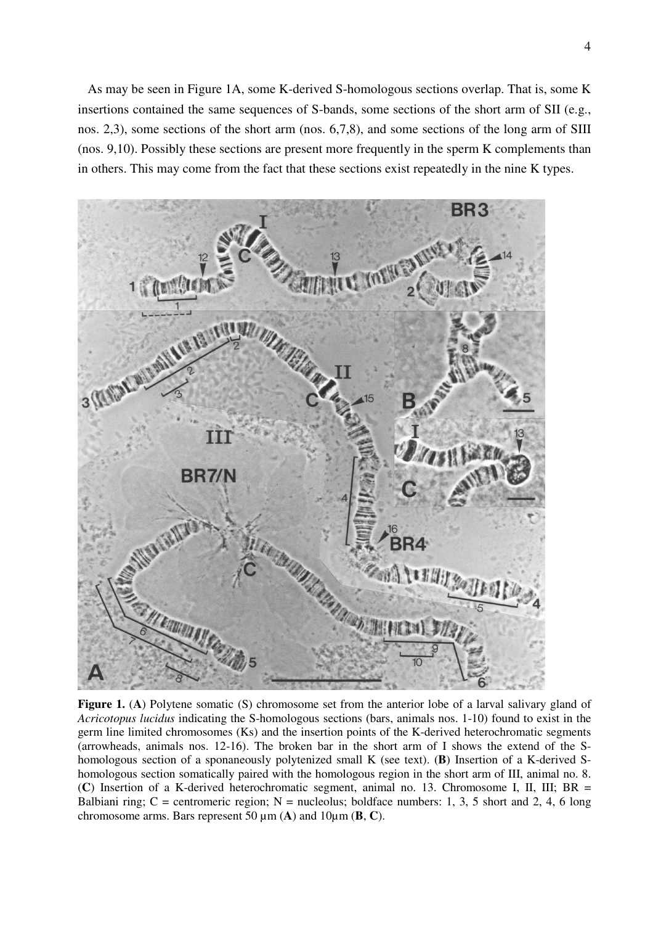As may be seen in Figure 1A, some K-derived S-homologous sections overlap. That is, some K insertions contained the same sequences of S-bands, some sections of the short arm of SII (e.g., nos. 2,3), some sections of the short arm (nos. 6,7,8), and some sections of the long arm of SIII (nos. 9,10). Possibly these sections are present more frequently in the sperm K complements than in others. This may come from the fact that these sections exist repeatedly in the nine K types.



**Figure 1.** (A) Polytene somatic (S) chromosome set from the anterior lobe of a larval salivary gland of *Acricotopus lucidus* indicating the S-homologous sections (bars, animals nos. 1-10) found to exist in the germ line limited chromosomes (Ks) and the insertion points of the K-derived heterochromatic segments (arrowheads, animals nos. 12-16). The broken bar in the short arm of I shows the extend of the Shomologous section of a sponaneously polytenized small K (see text). (**B**) Insertion of a K-derived Shomologous section somatically paired with the homologous region in the short arm of III, animal no. 8. (**C**) Insertion of a K-derived heterochromatic segment, animal no. 13. Chromosome I, II, III; BR = Balbiani ring; C = centromeric region; N = nucleolus; boldface numbers: 1, 3, 5 short and 2, 4, 6 long chromosome arms. Bars represent 50 µm (**A**) and 10µm (**B**, **C**).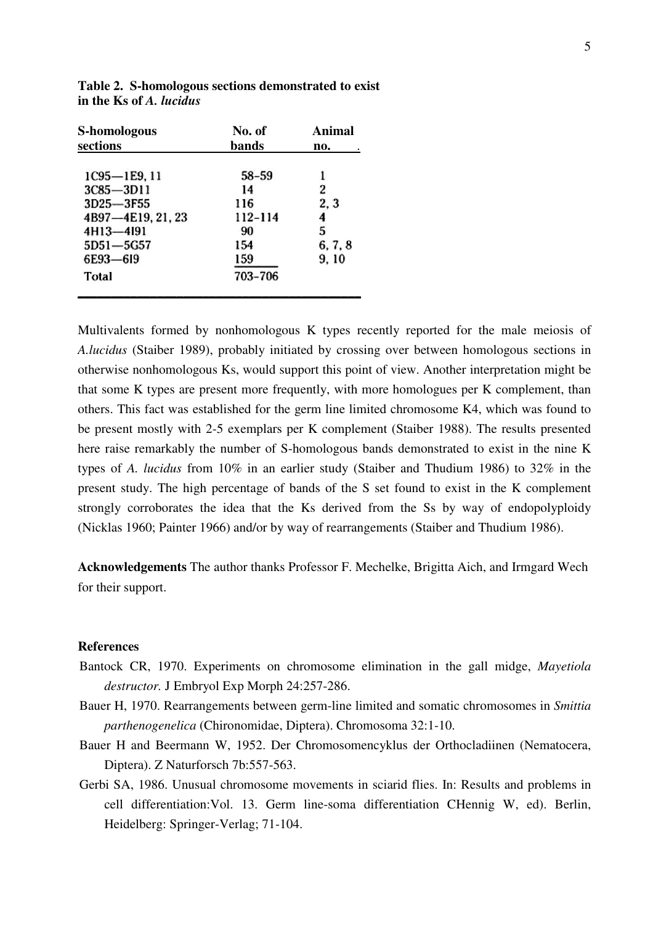| S-homologous                  | No. of       | <b>Animal</b><br>no. |
|-------------------------------|--------------|----------------------|
| sections                      | <b>bands</b> |                      |
|                               | $58 - 59$    |                      |
| 1C95-1E9, 11<br>$3C85 - 3D11$ | 14           | 2                    |
| 3D25-3F55                     | 116          | 2, 3                 |
| 4B97-4E19, 21, 23             | 112-114      | 4                    |
| 4H13-4I91                     | 90           | 5                    |
| 5D51-5G57                     | 154          | 6, 7, 8              |
| 6E93-619                      | 159          | 9, 10                |
| Total                         | 703-706      |                      |
|                               |              |                      |

**Table 2. S-homologous sections demonstrated to exist in the Ks of** *A. lucidus* 

Multivalents formed by nonhomologous K types recently reported for the male meiosis of *A.lucidus* (Staiber 1989), probably initiated by crossing over between homologous sections in otherwise nonhomologous Ks, would support this point of view. Another interpretation might be that some K types are present more frequently, with more homologues per K complement, than others. This fact was established for the germ line limited chromosome K4, which was found to be present mostly with 2-5 exemplars per K complement (Staiber 1988). The results presented here raise remarkably the number of S-homologous bands demonstrated to exist in the nine K types of *A. lucidus* from 10% in an earlier study (Staiber and Thudium 1986) to 32% in the present study. The high percentage of bands of the S set found to exist in the K complement strongly corroborates the idea that the Ks derived from the Ss by way of endopolyploidy (Nicklas 1960; Painter 1966) and/or by way of rearrangements (Staiber and Thudium 1986).

**Acknowledgements** The author thanks Professor F. Mechelke, Brigitta Aich, and Irmgard Wech for their support.

## **References**

- Bantock CR, 1970. Experiments on chromosome elimination in the gall midge, *Mayetiola destructor.* J Embryol Exp Morph 24:257-286.
- Bauer H, 1970. Rearrangements between germ-line limited and somatic chromosomes in *Smittia parthenogenelica* (Chironomidae, Diptera). Chromosoma 32:1-10.
- Bauer H and Beermann W, 1952. Der Chromosomencyklus der Orthocladiinen (Nematocera, Diptera). Z Naturforsch 7b:557-563.
- Gerbi SA, 1986. Unusual chromosome movements in sciarid flies. In: Results and problems in cell differentiation:Vol. 13. Germ line-soma differentiation CHennig W, ed). Berlin, Heidelberg: Springer-Verlag; 71-104.